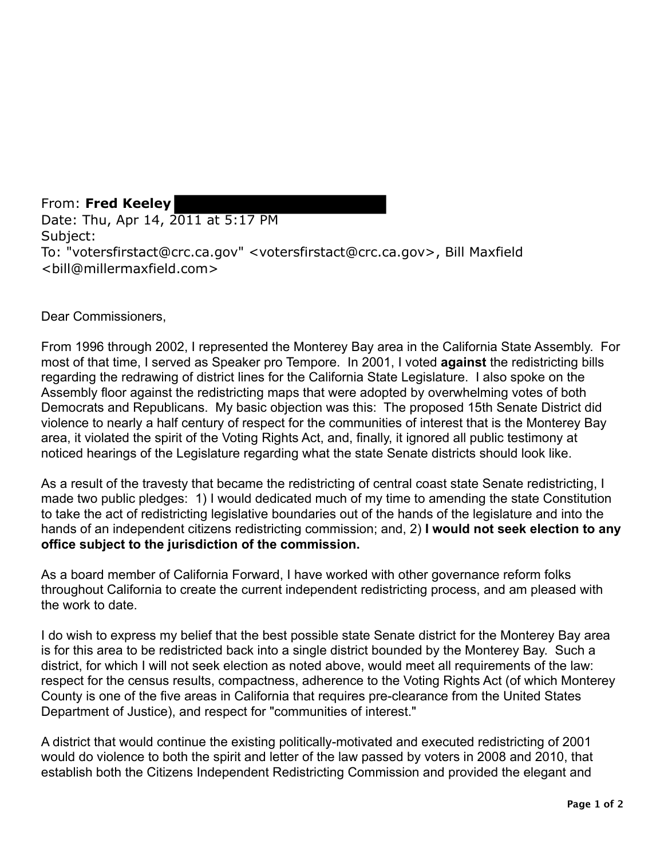From: **Fred Keeley**  Date: Thu, Apr 14, 2011 at 5:17 PM Subject: To: "votersfirstact@crc.ca.gov" <votersfirstact@crc.ca.gov>, Bill Maxfield <bill@millermaxfield.com>

Dear Commissioners,

From 1996 through 2002, I represented the Monterey Bay area in the California State Assembly. For most of that time, I served as Speaker pro Tempore. In 2001, I voted **against** the redistricting bills regarding the redrawing of district lines for the California State Legislature. I also spoke on the Assembly floor against the redistricting maps that were adopted by overwhelming votes of both Democrats and Republicans. My basic objection was this: The proposed 15th Senate District did violence to nearly a half century of respect for the communities of interest that is the Monterey Bay area, it violated the spirit of the Voting Rights Act, and, finally, it ignored all public testimony at noticed hearings of the Legislature regarding what the state Senate districts should look like.

As a result of the travesty that became the redistricting of central coast state Senate redistricting, I made two public pledges: 1) I would dedicated much of my time to amending the state Constitution to take the act of redistricting legislative boundaries out of the hands of the legislature and into the hands of an independent citizens redistricting commission; and, 2) **I would not seek election to any office subject to the jurisdiction of the commission.** 

As a board member of California Forward, I have worked with other governance reform folks throughout California to create the current independent redistricting process, and am pleased with the work to date.

I do wish to express my belief that the best possible state Senate district for the Monterey Bay area is for this area to be redistricted back into a single district bounded by the Monterey Bay. Such a district, for which I will not seek election as noted above, would meet all requirements of the law: respect for the census results, compactness, adherence to the Voting Rights Act (of which Monterey County is one of the five areas in California that requires pre-clearance from the United States Department of Justice), and respect for "communities of interest."

A district that would continue the existing politically-motivated and executed redistricting of 2001 would do violence to both the spirit and letter of the law passed by voters in 2008 and 2010, that establish both the Citizens Independent Redistricting Commission and provided the elegant and